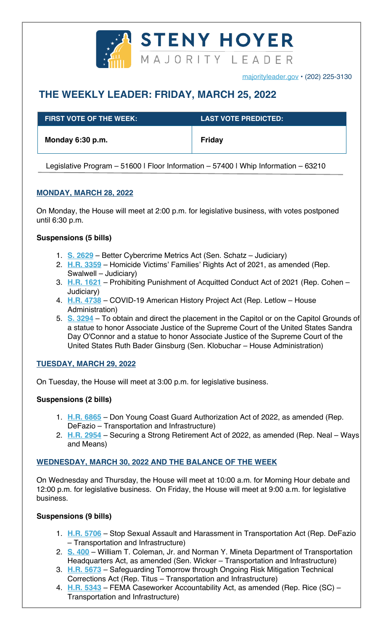

majorityleader.gov • (202) 225-3130

# **THE WEEKLY LEADER: FRIDAY, MARCH 25, 2022**

| <b>FIRST VOTE OF THE WEEK:</b> | <b>LAST VOTE PREDICTED:</b> |
|--------------------------------|-----------------------------|
| Monday 6:30 p.m.               | Friday                      |

Legislative Program - 51600 | Floor Information - 57400 | Whip Information - 63210

## **MONDAY, MARCH 28, 2022**

On Monday, the House will meet at 2:00 p.m. for legislative business, with votes postponed until 6:30 p.m.

## **Suspensions (5 bills)**

- 1. **S. 2629** Better Cybercrime Metrics Act (Sen. Schatz Judiciary)
- 2. **H.R. 3359** Homicide Victims' Families' Rights Act of 2021, as amended (Rep. Swalwell – Judiciary)
- 3. **H.R. 1621** Prohibiting Punishment of Acquitted Conduct Act of 2021 (Rep. Cohen Judiciary)
- 4. **H.R. 4738** COVID-19 American History Project Act (Rep. Letlow House Administration)
- 5. **S. 3294** To obtain and direct the placement in the Capitol or on the Capitol Grounds of a statue to honor Associate Justice of the Supreme Court of the United States Sandra Day O'Connor and a statue to honor Associate Justice of the Supreme Court of the United States Ruth Bader Ginsburg (Sen. Klobuchar – House Administration)

## **TUESDAY, MARCH 29, 2022**

On Tuesday, the House will meet at 3:00 p.m. for legislative business.

## **Suspensions (2 bills)**

- 1. **H.R. 6865** Don Young Coast Guard Authorization Act of 2022, as amended (Rep. DeFazio – Transportation and Infrastructure)
- 2. **H.R. 2954** Securing a Strong Retirement Act of 2022, as amended (Rep. Neal Ways and Means)

## **WEDNESDAY, MARCH 30, 2022 AND THE BALANCE OF THE WEEK**

On Wednesday and Thursday, the House will meet at 10:00 a.m. for Morning Hour debate and 12:00 p.m. for legislative business. On Friday, the House will meet at 9:00 a.m. for legislative business.

## **Suspensions (9 bills)**

- 1. **H.R. 5706** Stop Sexual Assault and Harassment in Transportation Act (Rep. DeFazio – Transportation and Infrastructure)
- 2. **S. 400** William T. Coleman, Jr. and Norman Y. Mineta Department of Transportation Headquarters Act, as amended (Sen. Wicker – Transportation and Infrastructure)
- 3. **H.R. 5673** Safeguarding Tomorrow through Ongoing Risk Mitigation Technical Corrections Act (Rep. Titus – Transportation and Infrastructure)
- 4. **H.R. 5343** FEMA Caseworker Accountability Act, as amended (Rep. Rice (SC) Transportation and Infrastructure)